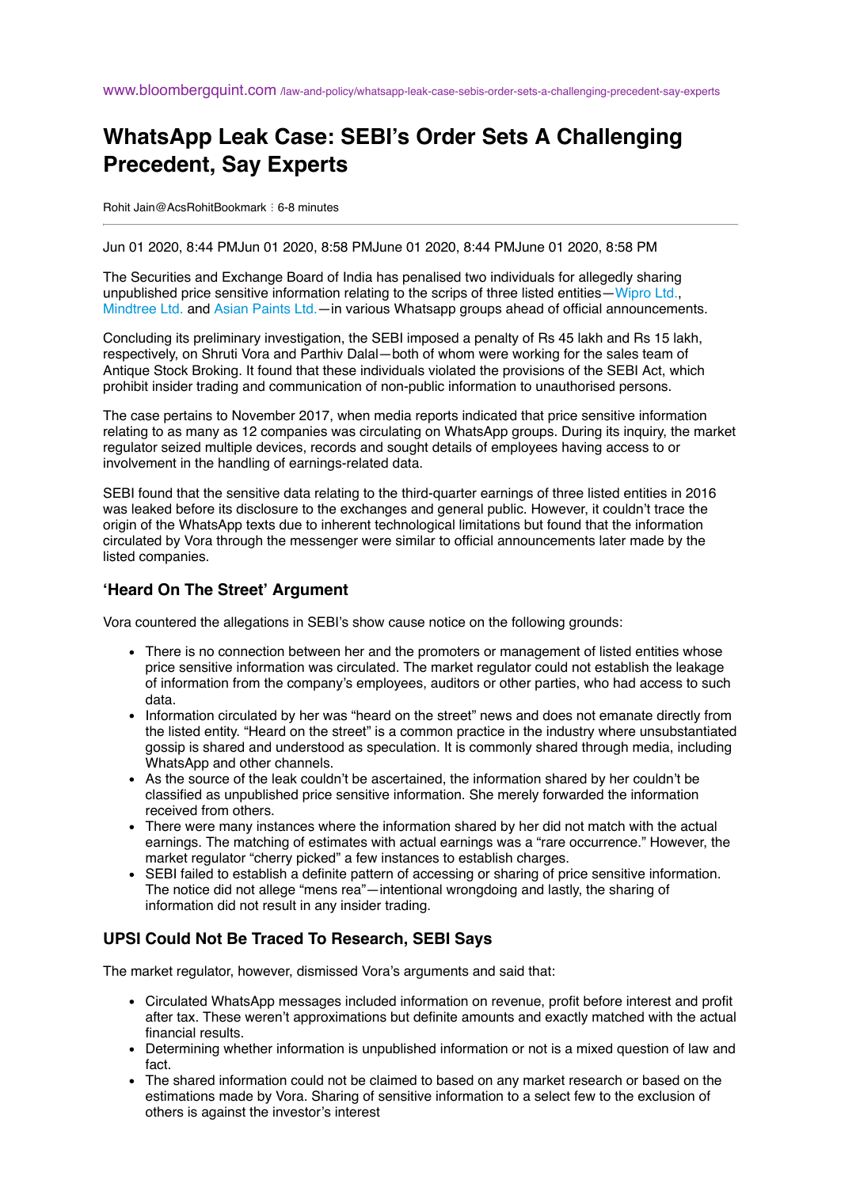## **WhatsApp Leak Case: SEBI's Order Sets A Challenging Precedent, Say Experts**

Rohit Jain@AcsRohitBookmark ⋮ 6-8 minutes

Jun 01 2020, 8:44 PMJun 01 2020, 8:58 PMJune 01 2020, 8:44 PMJune 01 2020, 8:58 PM

The Securities and Exchange Board of India has penalised two individuals for allegedly sharing unpublished price sensitive information relating to the scrips of three listed entities[—Wipro Ltd.,](https://www.bloombergquint.com/stock/531139/wipro-ltd) [Mindtree Ltd.](https://www.bloombergquint.com/stock/920157/mindtree-ltd) and [Asian Paints Ltd.—](https://www.bloombergquint.com/stock/244442/asian-paints-ltd)in various Whatsapp groups ahead of official announcements.

Concluding its preliminary investigation, the SEBI imposed a penalty of Rs 45 lakh and Rs 15 lakh, respectively, on Shruti Vora and Parthiv Dalal—both of whom were working for the sales team of Antique Stock Broking. It found that these individuals violated the provisions of the SEBI Act, which prohibit insider trading and communication of non-public information to unauthorised persons.

The case pertains to November 2017, when media reports indicated that price sensitive information relating to as many as 12 companies was circulating on WhatsApp groups. During its inquiry, the market regulator seized multiple devices, records and sought details of employees having access to or involvement in the handling of earnings-related data.

SEBI found that the sensitive data relating to the third-quarter earnings of three listed entities in 2016 was leaked before its disclosure to the exchanges and general public. However, it couldn't trace the origin of the WhatsApp texts due to inherent technological limitations but found that the information circulated by Vora through the messenger were similar to official announcements later made by the listed companies.

## **'Heard On The Street' Argument**

Vora countered the allegations in SEBI's show cause notice on the following grounds:

- There is no connection between her and the promoters or management of listed entities whose price sensitive information was circulated. The market regulator could not establish the leakage of information from the company's employees, auditors or other parties, who had access to such data.
- Information circulated by her was "heard on the street" news and does not emanate directly from the listed entity. "Heard on the street" is a common practice in the industry where unsubstantiated gossip is shared and understood as speculation. It is commonly shared through media, including WhatsApp and other channels.
- As the source of the leak couldn't be ascertained, the information shared by her couldn't be classified as unpublished price sensitive information. She merely forwarded the information received from others.
- There were many instances where the information shared by her did not match with the actual earnings. The matching of estimates with actual earnings was a "rare occurrence." However, the market regulator "cherry picked" a few instances to establish charges.
- SEBI failed to establish a definite pattern of accessing or sharing of price sensitive information. The notice did not allege "mens rea"—intentional wrongdoing and lastly, the sharing of information did not result in any insider trading.

## **UPSI Could Not Be Traced To Research, SEBI Says**

The market regulator, however, dismissed Vora's arguments and said that:

- Circulated WhatsApp messages included information on revenue, profit before interest and profit after tax. These weren't approximations but definite amounts and exactly matched with the actual financial results.
- Determining whether information is unpublished information or not is a mixed question of law and fact.
- The shared information could not be claimed to based on any market research or based on the estimations made by Vora. Sharing of sensitive information to a select few to the exclusion of others is against the investor's interest